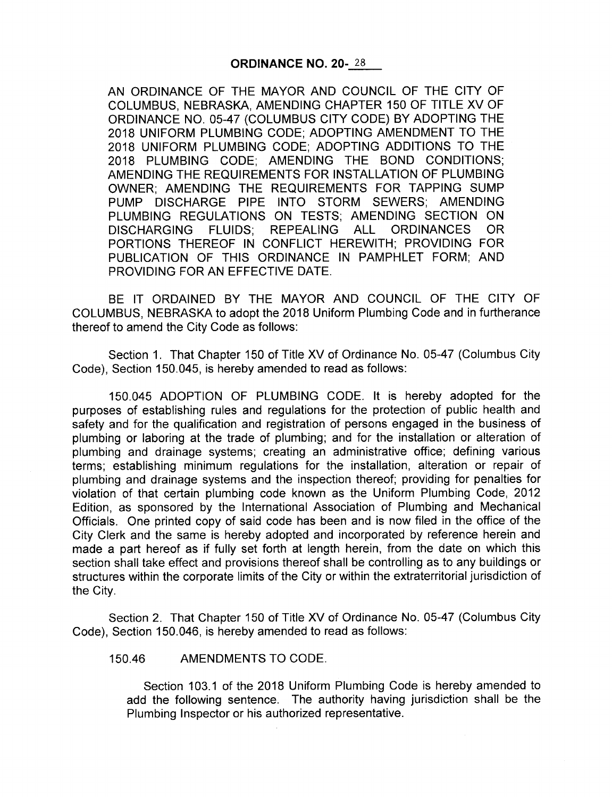AN ORDINANCE OF THE MAYOR AND COUNCIL OF THE CITY OF COLUMBUS, NEBRASKA, AMENDING CHAPTER 150 OF TITLE XV OF ORDINANCE NO. 05-47 (COLUMBUS CITY CODE) BY ADOPTING THE 2018 UNIFORM PLUMBING CODE; ADOPTING AMENDMENT TO THE 2018 UNIFORM PLUMBING CODE; ADOPTING ADDITIONS TO THE 2018 PLUMBING CODE; AMENDING THE BOND CONDITIONS; AMENDING THE REQUIREMENTS FOR INSTALLATION OF PLUMBING OWNER; AMENDING THE REQUIREMENTS FOR TAPPING SUMP PUMP DISCHARGE PIPE INTO STORM SEWERS; AMENDING PLUMBING REGULATIONS ON TESTS; AMENDING SECTION ON DISCHARGING FLUIDS; REPEALING ALL ORDINANCES OR PORTIONS THEREOF IN CONFLICT HEREWITH; PROVIDING FOR PUBLICATION OF THIS ORDINANCE IN PAMPHLET FORM; AND PROVIDING FOR AN EFFECTIVE DATE.

BE IT ORDAINED BY THE MAYOR AND COUNCIL OF THE CITY OF COLUMBUS, NEBRASKA to adopt the 2018 Uniform Plumbing Code and in furtherance thereof to amend the City Code as follows:

Section 1. That Chapter 150 of Title XV of Ordinance No. 05-47 (Columbus City Code), Section 150. 045, is hereby amended to read as follows:

150. 045 ADOPTION OF PLUMBING CODE. It is hereby adopted for the purposes of establishing rules and regulations for the protection of public health and safety and for the qualification and registration of persons engaged in the business of plumbing or laboring at the trade of plumbing; and for the installation or alteration of plumbing and drainage systems; creating an administrative office; defining various terms; establishing minimum regulations for the installation, alteration or repair of plumbing and drainage systems and the inspection thereof; providing for penalties for violation of that certain plumbing code known as the Uniform Plumbing Code, 2012 Edition, as sponsored by the International Association of Plumbing and Mechanical Officials. One printed copy of said code has been and is now filed in the office of the City Clerk and the same is hereby adopted and incorporated by reference herein and made a part hereof as if fully set forth at length herein, from the date on which this section shall take effect and provisions thereof shall be controlling as to any buildings or structures within the corporate limits of the City or within the extraterritorial jurisdiction of the City.

Section 2. That Chapter 150 of Title XV of Ordinance No. 05-47 (Columbus City Code), Section 150. 046, is hereby amended to read as follows:

150. 46 AMENDMENTS TO CODE.

Section 103. <sup>1</sup> of the 2018 Uniform Plumbing Code is hereby amended to add the following sentence. The authority having jurisdiction shall be the Plumbing Inspector or his authorized representative.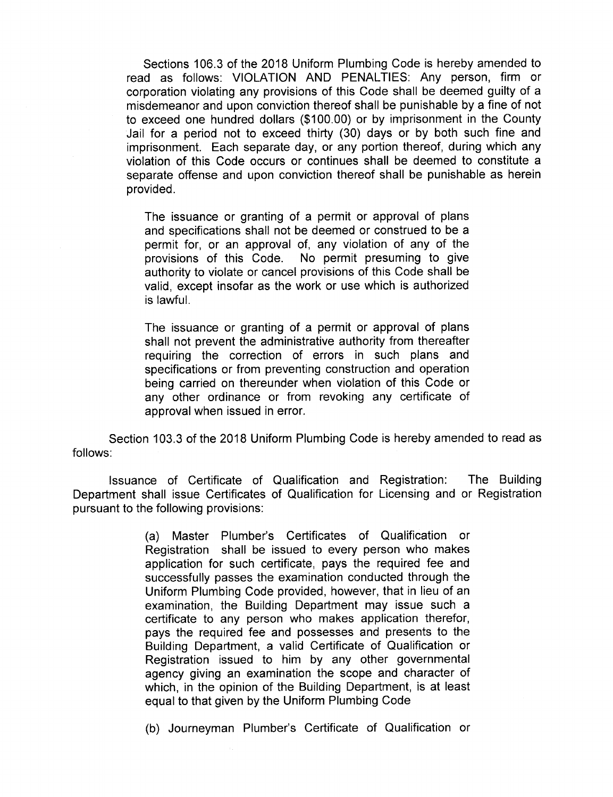Sections 106.3 of the 2018 Uniform Plumbing Code is hereby amended to read as follows: VIOLATION AND PENALTIES: Any person, firm or corporation violating any provisions of this Code shall be deemed guilty of a misdemeanor and upon conviction thereof shall be punishable by a fine of not to exceed one hundred dollars (\$ 100. 00) or by imprisonment in the County Jail for <sup>a</sup> period not to exceed thirty (30) days or by both such fine and imprisonment. Each separate day, or any portion thereof, during which any violation of this Code occurs or continues shall be deemed to constitute a separate offense and upon conviction thereof shall be punishable as herein provided.

The issuance or granting of a permit or approval of plans and specifications shall not be deemed or construed to be a permit for, or an approval of, any violation of any of the provisions of this Code. No permit presuming to give No permit presuming to give. authority to violate or cancel provisions of this Code shall be valid, except insofar as the work or use which is authorized is lawful.

The issuance or granting of a permit or approval of plans shall not prevent the administrative authority from thereafter requiring the correction of errors in such plans and specifications or from preventing construction and operation being carried on thereunder when violation of this Code or any other ordinance or from revoking any certificate of approval when issued in error.

Section 103.3 of the 2018 Uniform Plumbing Code is hereby amended to read as follows:

Issuance of Certificate of Qualification and Registration: The Building Department shall issue Certificates of Qualification for Licensing and or Registration pursuant to the following provisions:

> (a) Master Plumber's Certificates of Qualification or Registration shall be issued to every person who makes application for such certificate, pays the required fee and successfully passes the examination conducted through the Uniform Plumbing Code provided, however, that in lieu of an examination, the Building Department may issue such <sup>a</sup> certificate to any person who makes application therefor, pays the required fee and possesses and presents to the Building Department, a valid Certificate of Qualification or Registration issued to him by any other governmental agency giving an examination the scope and character of which, in the opinion of the Building Department, is at least equal to that given by the Uniform Plumbing Code

> (b) Journeyman Plumber's Certificate of Qualification or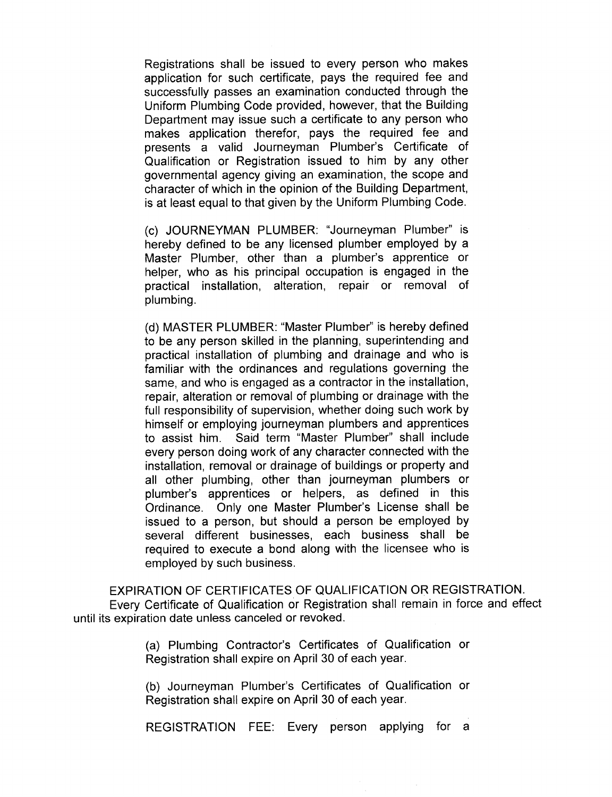Registrations shall be issued to every person who makes application for such certificate, pays the required fee and successfully passes an examination conducted through the Uniform Plumbing Code provided, however, that the Building Department may issue such a certificate to any person who makes application therefor, pays the required fee and presents a valid Journeyman Plumber's Certificate of Qualification or Registration issued to him by any other governmental agency giving an examination, the scope and character of which in the opinion of the Building Department, is at least equal to that given by the Uniform Plumbing Code.

c) JOURNEYMAN PLUMBER: " Journeyman Plumber" is hereby defined to be any licensed plumber employed by a Master Plumber, other than a plumber's apprentice or helper, who as his principal occupation is engaged in the practical installation, alteration, repair or removal of plumbing.

d) MASTER PLUMBER: " Master Plumber" is hereby defined to be any person skilled in the planning, superintending and practical installation of plumbing and drainage and who is familiar with the ordinances and regulations governing the same, and who is engaged as a contractor in the installation, repair, alteration or removal of plumbing or drainage with the full responsibility of supervision, whether doing such work by himself or employing journeyman plumbers and apprentices to assist him. Said term "Master Plumber" shall include every person doing work of any character connected with the installation, removal or drainage of buildings or property and all other plumbing, other than journeyman plumbers or plumber's apprentices or helpers, as defined in this Ordinance. Only one Master Plumber's License shall be issued to a person, but should a person be employed by several different businesses, each business shall be required to execute a bond along with the licensee who is employed by such business.

EXPIRATION OF CERTIFICATES OF QUALIFICATION OR REGISTRATION. Every Certificate of Qualification or Registration shall remain in force and effect until its expiration date unless canceled or revoked.

> (a) Plumbing Contractor's Certificates of Qualification or Registration shall expire on April 30 of each year.

> (b) Journeyman Plumber's Certificates of Qualification or Registration shall expire on April 30 of each year.

> REGISTRATION FEE: Every person applying for <sup>a</sup>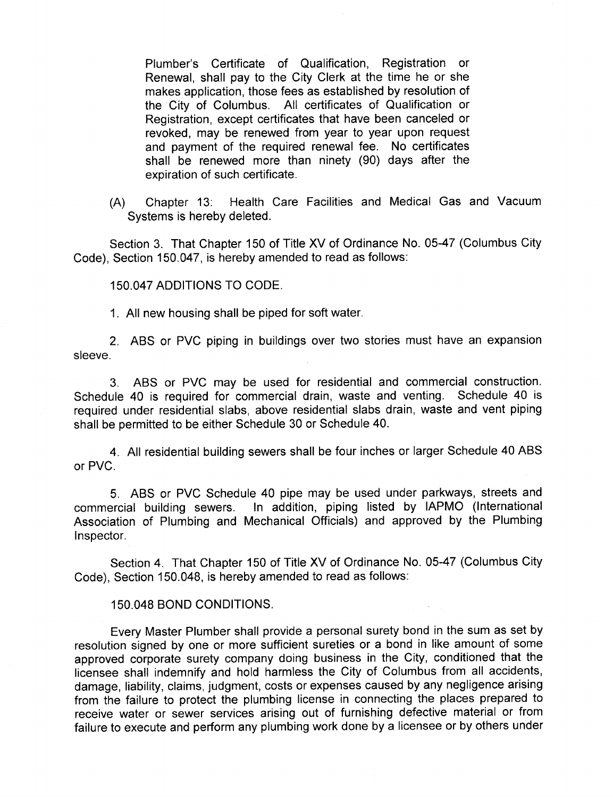Plumber's Certificate of Qualification, Registration or Renewal, shall pay to the City Clerk at the time he or she makes application, those fees as established by resolution of the City of Columbus. All certificates of Qualification or Registration, except certificates that have been canceled or revoked, may be renewed from year to year upon request and payment of the required renewal fee. No certificates shall be renewed more than ninety (90) days after the expiration of such certificate.

A) Chapter 13: Health Care Facilities and Medical Gas and Vacuum Systems is hereby deleted.

Section 3. That Chapter 150 of Title XV of Ordinance No. 05-47 (Columbus City Code), Section 150.047, is hereby amended to read as follows:

150. 047 ADDITIONS TO CODE.

1. All new housing shall be piped for soft water.

2. ABS or PVC piping in buildings over two stories must have an expansion sleeve.

3. ABS or PVC may be used for residential and commercial construction. Schedule 40 is required for commercial drain, waste and venting. Schedule 40 is required under residential slabs, above residential slabs drain, waste and vent piping shall be permitted to be either Schedule 30 or Schedule 40.

4. All residential building sewers shall be four inches or larger Schedule 40 ABS or PVC.

5. ABS or PVC Schedule 40 pipe may be used under parkways, streets and commercial building sewers. In addition, piping listed by IAPMO ( International Association of Plumbing and Mechanical Officials) and approved by the Plumbing Inspector.

Section 4. That Chapter 150 of Title XV of Ordinance No. 05-47 (Columbus City Code), Section 150. 048, is hereby amended to read as follows:

## 150. 048 BOND CONDITIONS.

Every Master Plumber shall provide a personal surety bond in the sum as set by resolution signed by one or more sufficient sureties or a bond in like amount of some approved corporate surety company doing business in the City, conditioned that the licensee shall indemnify and hold harmless the City of Columbus from all accidents, damage, liability, claims, judgment, costs or expenses caused by any negligence arising from the failure to protect the plumbing license in connecting the places prepared to receive water or sewer services arising out of furnishing defective material or from failure to execute and perform any plumbing work done by <sup>a</sup> licensee or by others under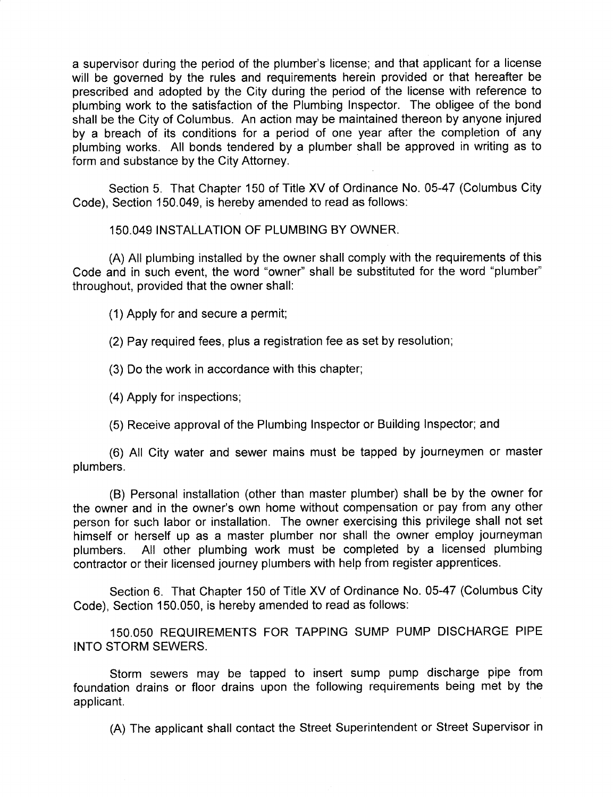a supervisor during the period of the plumber's license; and that applicant for a license will be governed by the rules and requirements herein provided or that hereafter be prescribed and adopted by the City during the period of the license with reference to plumbing work to the satisfaction of the Plumbing Inspector. The obligee of the bond shall be the City of Columbus. An action may be maintained thereon by anyone injured by a breach of its conditions for a period of one year after the completion of any plumbing works. All bonds tendered by <sup>a</sup> plumber shall be approved in writing as to form and substance by the City Attorney.

Section 5. That Chapter 150 of Title XV of Ordinance No. 05-47 (Columbus City Code), Section 150.049, is hereby amended to read as follows:

150. 049 INSTALLATION OF PLUMBING BY OWNER.

A) All plumbing installed by the owner shall comply with the requirements of this Code and in such event, the word "owner" shall be substituted for the word "plumber" throughout, provided that the owner shall:

1) Apply for and secure a permit;

2) Pay required fees, plus a registration fee as set by resolution;

3) Do the work in accordance with this chapter;

4) Apply for inspections;

5) Receive approval of the Plumbing Inspector or Building Inspector; and

6) All City water and sewer mains must be tapped by journeymen or master plumbers.

B) Personal installation ( other than master plumber) shall be by the owner for the owner and in the owner's own home without compensation or pay from any other person for such labor or installation. The owner exercising this privilege shall not set himself or herself up as a master plumber nor shall the owner employ journeyman<br>plumbers. All other plumbing work must be completed by a licensed plumbing All other plumbing work must be completed by a licensed plumbing contractor or their licensed journey plumbers with help from register apprentices.

Section 6. That Chapter 150 of Title XV of Ordinance No. 05-47 (Columbus City Code), Section 150,050, is hereby amended to read as follows:

150. 050 REQUIREMENTS FOR TAPPING SUMP PUMP DISCHARGE PIPE INTO STORM SEWERS.

Storm sewers may be tapped to insert sump pump discharge pipe from foundation drains or floor drains upon the following requirements being met by the applicant.

A) The applicant shall contact the Street Superintendent or Street Supervisor in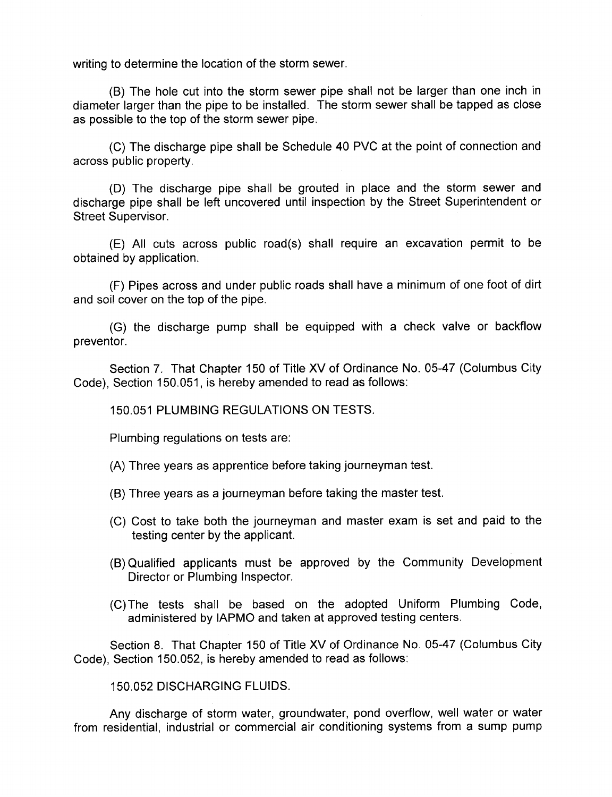writing to determine the location of the storm sewer.

B) The hole cut into the storm sewer pipe shall not be larger than one inch in diameter larger than the pipe to be installed. The storm sewer shall be tapped as close as possible to the top of the storm sewer pipe.

C) The discharge pipe shall be Schedule 40 PVC at the point of connection and across public property.

D) The discharge pipe shall be grouted in place and the storm sewer and discharge pipe shall be left uncovered until inspection by the Street Superintendent or Street Supervisor.

E) All cuts across public road( s) shall require an excavation permit to be obtained by application.

F) Pipes across and under public roads shall have a minimum of one foot of dirt and soil cover on the top of the pipe.

G) the discharge pump shall be equipped with a check valve or backflow preventor.

Section 7. That Chapter 150 of Title XV of Ordinance No. 05-47 (Columbus City Code), Section 150.051, is hereby amended to read as follows:

150. 051 PLUMBING REGULATIONS ON TESTS.

Plumbing regulations on tests are:

A) Three years as apprentice before taking journeyman test.

- B) Three years as a journeyman before taking the master test.
- C) Cost to take both the journeyman and master exam is set and paid to the testing center by the applicant.
- B) Qualified applicants must be approved by the Community Development Director or Plumbing Inspector.
- C) The tests shall be based on the adopted Uniform Plumbing Code, administered by IAPMO and taken at approved testing centers.

Section 8. That Chapter 150 of Title XV of Ordinance No. 05-47 ( Columbus City Code), Section 150.052, is hereby amended to read as follows:

150. 052 DISCHARGING FLUIDS.

Any discharge of storm water, groundwater, pond overflow, well water or water from residential, industrial or commercial air conditioning systems from <sup>a</sup> sump pump